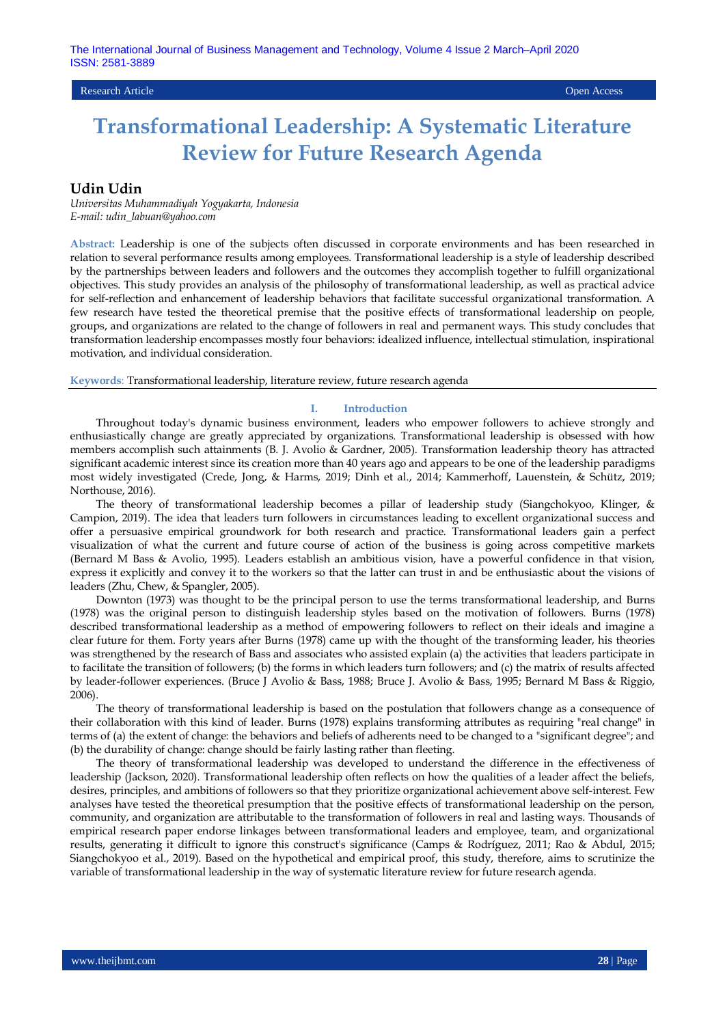## Research Article Open Access

# **Transformational Leadership: A Systematic Literature Review for Future Research Agenda**

## **Udin Udin**

*Universitas Muhammadiyah Yogyakarta, Indonesia E-mail: udin\_labuan@yahoo.com*

**Abstract:** Leadership is one of the subjects often discussed in corporate environments and has been researched in relation to several performance results among employees. Transformational leadership is a style of leadership described by the partnerships between leaders and followers and the outcomes they accomplish together to fulfill organizational objectives. This study provides an analysis of the philosophy of transformational leadership, as well as practical advice for self-reflection and enhancement of leadership behaviors that facilitate successful organizational transformation. A few research have tested the theoretical premise that the positive effects of transformational leadership on people, groups, and organizations are related to the change of followers in real and permanent ways. This study concludes that transformation leadership encompasses mostly four behaviors: idealized influence, intellectual stimulation, inspirational motivation, and individual consideration.

**Keywords**: Transformational leadership, literature review, future research agenda

#### **I. Introduction**

Throughout today's dynamic business environment, leaders who empower followers to achieve strongly and enthusiastically change are greatly appreciated by organizations. Transformational leadership is obsessed with how members accomplish such attainments [\(B. J. Avolio & Gardner, 2005\)](#page-2-0). Transformation leadership theory has attracted significant academic interest since its creation more than 40 years ago and appears to be one of the leadership paradigms most widely investigated [\(Crede, Jong, & Harms, 2019;](#page-3-0) [Dinh et al., 2014;](#page-3-1) [Kammerhoff, Lauenstein, & Schütz, 2019;](#page-3-2)  [Northouse, 2016\)](#page-3-3).

The theory of transformational leadership becomes a pillar of leadership study [\(Siangchokyoo, Klinger, &](#page-4-0)  [Campion, 2019\)](#page-4-0). The idea that leaders turn followers in circumstances leading to excellent organizational success and offer a persuasive empirical groundwork for both research and practice. Transformational leaders [gain](https://www.thesaurus.com/browse/gain) a perfect visualization of what the current and future course of action of the business is going across competitive markets [\(Bernard M Bass & Avolio, 1995\)](#page-2-1). Leaders establish an ambitious vision, have a powerful confidence in that vision, express it explicitly and convey it to the workers so that the latter can trust in and be enthusiastic about the visions of leaders [\(Zhu, Chew, & Spangler, 2005\)](#page-4-1).

[Downton \(1973\)](#page-3-4) was thought to be the principal person to use the terms transformational leadership, and [Burns](#page-2-2)  [\(1978\)](#page-2-2) was the original person to distinguish leadership styles based on the motivation of followers. [Burns \(1978\)](#page-2-2) described transformational leadership as a method of empowering followers to reflect on their ideals and imagine a clear future for them. Forty years after [Burns \(1978\)](#page-2-2) came up with the thought of the transforming leader, his theories was strengthened by the research of Bass and associates who assisted explain (a) the activities that leaders participate in to facilitate the transition of followers; (b) the forms in which leaders turn followers; and (c) the matrix of results affected by leader-follower experiences. [\(Bruce J Avolio & Bass, 1988;](#page-2-3) [Bruce J. Avolio & Bass, 1995;](#page-2-4) [Bernard M Bass & Riggio,](#page-2-5)  [2006\)](#page-2-5)

The theory of transformational leadership is based on the postulation that followers change as a consequence of their collaboration with this kind of leader. [Burns \(1978\)](#page-2-2) explains transforming attributes as requiring "real change" in terms of (a) the extent of change: the behaviors and beliefs of adherents need to be changed to a "significant degree"; and (b) the durability of change: change should be fairly lasting rather than fleeting.

The theory of transformational leadership was developed to understand the difference in the effectiveness of leadership [\(Jackson, 2020\)](#page-3-5). Transformational leadership often reflects on how the qualities of a leader affect the beliefs, desires, principles, and ambitions of followers so that they prioritize organizational achievement above self-interest. Few analyses have tested the theoretical presumption that the positive effects of transformational leadership on the person, community, and organization are attributable to the transformation of followers in real and lasting ways. Thousands of empirical research paper endorse linkages between transformational leaders and employee, team, and organizational results, generating it difficult to ignore this construct's significance [\(Camps & Rodríguez, 2011;](#page-2-6) [Rao & Abdul, 2015;](#page-3-6)  [Siangchokyoo et al., 2019\)](#page-4-0). Based on the hypothetical and empirical proof, this study, therefore, aims to scrutinize the variable of transformational leadership in the way of systematic literature review for future research agenda.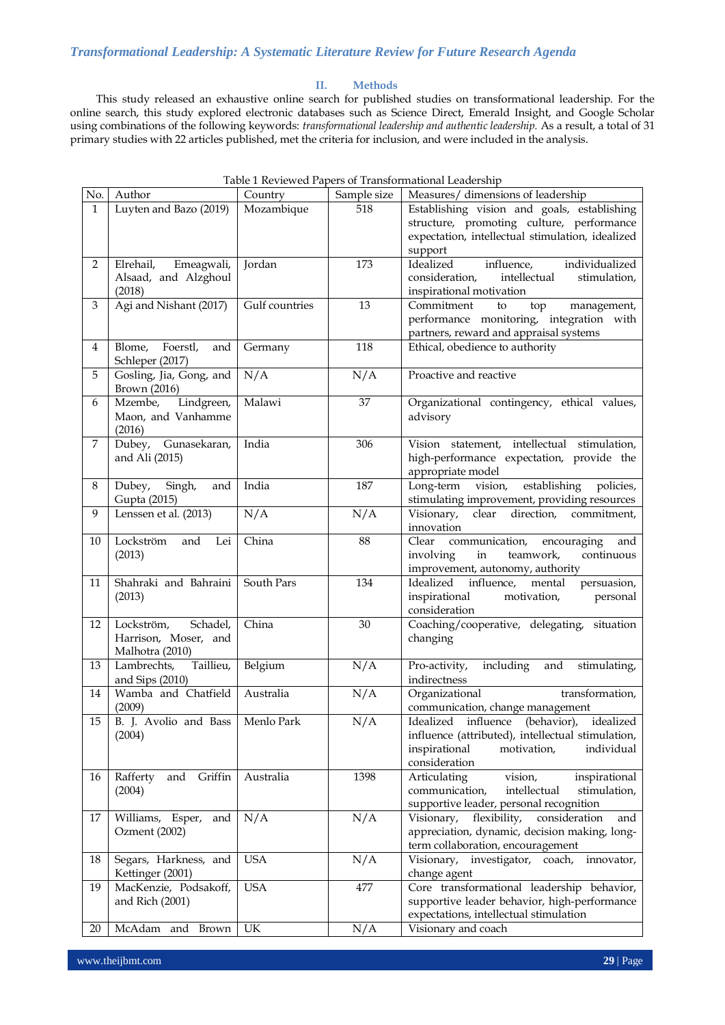## **II. Methods**

This study released an exhaustive online search for published studies on transformational leadership. For the online search, this study explored electronic databases such as Science Direct, Emerald Insight, and Google Scholar using combinations of the following keywords: *transformational leadership and authentic leadership.* As a result, a total of 31 primary studies with 22 articles published, met the criteria for inclusion, and were included in the analysis.

| No.            | Author                           | Country        | Sample size     | Measures/ dimensions of leadership                                                             |
|----------------|----------------------------------|----------------|-----------------|------------------------------------------------------------------------------------------------|
| $\mathbf{1}$   | Luyten and Bazo (2019)           | Mozambique     | 518             | Establishing vision and goals, establishing                                                    |
|                |                                  |                |                 | structure, promoting culture, performance                                                      |
|                |                                  |                |                 | expectation, intellectual stimulation, idealized                                               |
|                |                                  |                |                 | support                                                                                        |
| 2              | Elrehail, Emeagwali,             | Jordan         | 173             | Idealized<br>influence,<br>individualized                                                      |
|                | Alsaad, and Alzghoul             |                |                 | intellectual<br>consideration,<br>stimulation,                                                 |
|                | (2018)                           |                |                 | inspirational motivation                                                                       |
| 3              | Agi and Nishant (2017)           | Gulf countries | 13              | Commitment<br>top<br>management,<br>to                                                         |
|                |                                  |                |                 | performance monitoring, integration with                                                       |
|                |                                  |                |                 | partners, reward and appraisal systems                                                         |
| $\overline{4}$ | Foerstl,<br>Blome,<br>and        | Germany        | <b>118</b>      | Ethical, obedience to authority                                                                |
|                | Schleper (2017)                  |                |                 |                                                                                                |
| 5              | Gosling, Jia, Gong, and          | N/A            | N/A             | Proactive and reactive                                                                         |
| 6              | Brown (2016)<br>Mzembe,          | Malawi         | 37              |                                                                                                |
|                | Lindgreen,<br>Maon, and Vanhamme |                |                 | Organizational contingency, ethical values,<br>advisory                                        |
|                | (2016)                           |                |                 |                                                                                                |
| $\overline{7}$ | Dubey, Gunasekaran,              | India          | 306             | Vision statement, intellectual stimulation,                                                    |
|                | and Ali (2015)                   |                |                 | high-performance expectation, provide the                                                      |
|                |                                  |                |                 | appropriate model                                                                              |
| 8              | Dubey,<br>Singh,<br>and          | India          | 187             | Long-term<br>vision,<br>establishing<br>policies,                                              |
|                | Gupta (2015)                     |                |                 | stimulating improvement, providing resources                                                   |
| 9              | Lenssen et al. (2013)            | N/A            | N/A             | Visionary,<br>clear direction, commitment,                                                     |
|                |                                  |                |                 | innovation                                                                                     |
| 10             | Lockström<br>and<br>Lei          | China          | $\overline{88}$ | communication,<br>Clear<br>encouraging<br>and                                                  |
|                | (2013)                           |                |                 | involving<br>in<br>teamwork,<br>continuous                                                     |
|                |                                  |                |                 | improvement, autonomy, authority                                                               |
| 11             | Shahraki and Bahraini            | South Pars     | 134             | Idealized influence,<br>persuasion,<br>mental                                                  |
|                | (2013)                           |                |                 | inspirational<br>motivation,<br>personal                                                       |
|                |                                  |                |                 | consideration                                                                                  |
| 12             | Schadel,<br>Lockström,           | China          | 30              | Coaching/cooperative, delegating, situation                                                    |
|                | Harrison, Moser, and             |                |                 | changing                                                                                       |
|                | Malhotra (2010)                  |                |                 |                                                                                                |
| 13             | Taillieu,<br>Lambrechts,         | Belgium        | N/A             | including<br>Pro-activity,<br>and<br>stimulating,                                              |
|                | and Sips (2010)                  |                |                 | indirectness                                                                                   |
| 14             | Wamba and Chatfield              | Australia      | N/A             | Organizational<br>transformation,                                                              |
|                | (2009)                           |                |                 | communication, change management                                                               |
| 15             | B. J. Avolio and Bass            | Menlo Park     | N/A             | Idealized influence (behavior), idealized<br>influence (attributed), intellectual stimulation, |
|                | (2004)                           |                |                 | inspirational<br>individual<br>motivation,                                                     |
|                |                                  |                |                 | consideration                                                                                  |
| 16             | Griffin<br>Rafferty<br>and       | Australia      | 1398            | Articulating<br>vision,<br>inspirational                                                       |
|                | (2004)                           |                |                 | communication,<br>intellectual<br>stimulation,                                                 |
|                |                                  |                |                 | supportive leader, personal recognition                                                        |
| 17             | Williams, Esper,<br>and          | N/A            | N/A             | flexibility,<br>Visionary,<br>consideration<br>and                                             |
|                | Ozment (2002)                    |                |                 | appreciation, dynamic, decision making, long-                                                  |
|                |                                  |                |                 | term collaboration, encouragement                                                              |
| 18             | Segars, Harkness, and            | <b>USA</b>     | N/A             | investigator,<br>Visionary,<br>coach,<br>innovator,                                            |
|                | Kettinger (2001)                 |                |                 | change agent                                                                                   |
| 19             | MacKenzie, Podsakoff,            | <b>USA</b>     | 477             | Core transformational leadership behavior,                                                     |
|                | and Rich (2001)                  |                |                 | supportive leader behavior, high-performance                                                   |
|                |                                  |                |                 | expectations, intellectual stimulation                                                         |
| 20             | McAdam and Brown                 | UK             | N/A             | Visionary and coach                                                                            |

| Table 1 Reviewed Papers of Transformational Leadership |  |  |
|--------------------------------------------------------|--|--|
|--------------------------------------------------------|--|--|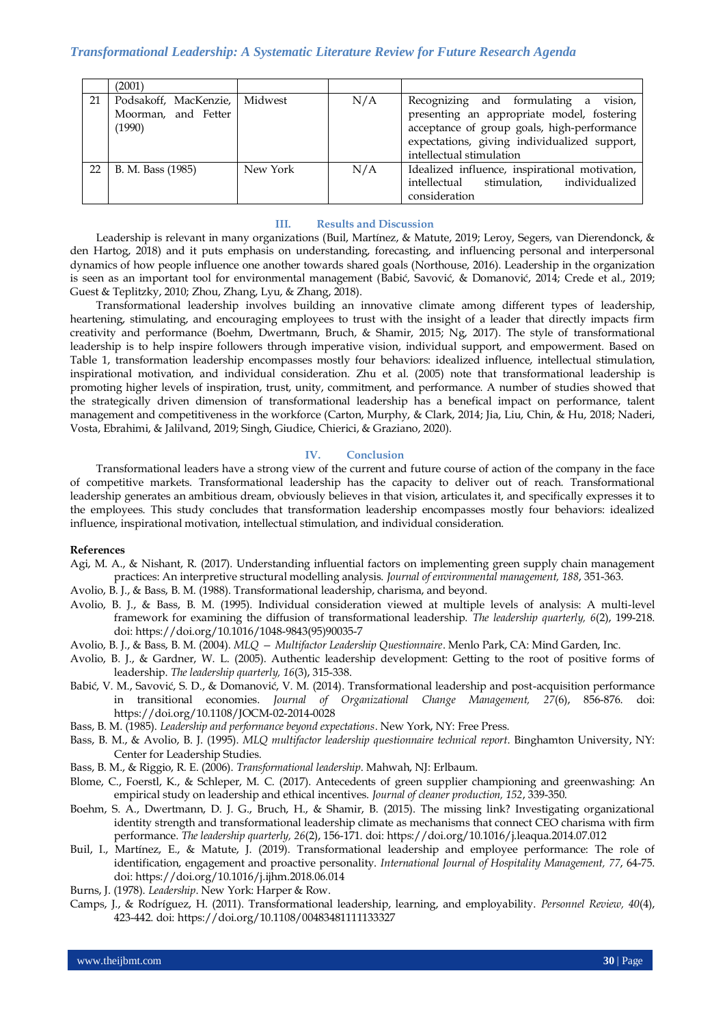|    | (2001)                                                         |          |     |                                                                                                                                                                                                                   |
|----|----------------------------------------------------------------|----------|-----|-------------------------------------------------------------------------------------------------------------------------------------------------------------------------------------------------------------------|
| 21 | Podsakoff, MacKenzie, Midwest<br>Moorman, and Fetter<br>(1990) |          | N/A | vision,<br>Recognizing and formulating a<br>presenting an appropriate model, fostering<br>acceptance of group goals, high-performance<br>expectations, giving individualized support,<br>intellectual stimulation |
| 22 | B. M. Bass (1985)                                              | New York | N/A | Idealized influence, inspirational motivation,<br>stimulation. individualized<br>intellectual<br>consideration                                                                                                    |

#### **III. Results and Discussion**

Leadership is relevant in many organizations [\(Buil, Martínez, & Matute, 2019;](#page-2-9) [Leroy, Segers, van Dierendonck, &](#page-3-22)  [den Hartog, 2018\)](#page-3-22) and it puts emphasis on understanding, forecasting, and influencing personal and interpersonal dynamics of how people influence one another towards shared goals [\(Northouse, 2016\)](#page-3-3). Leadership in the organization is seen as an important tool for environmental management ([Babić, Savović, & Domanović, 2014](#page-2-10); [Crede et al., 2019;](#page-3-0)  [Guest & Teplitzky, 2010;](#page-3-23) [Zhou, Zhang, Lyu, & Zhang, 2018\)](#page-4-5).

Transformational leadership involves building an innovative climate among different types of leadership, heartening, stimulating, and encouraging employees to trust with the insight of a leader that directly impacts firm creativity and performance [\(Boehm, Dwertmann, Bruch, & Shamir, 2015;](#page-2-11) [Ng, 2017\)](#page-3-24). The style of transformational leadership is to help inspire followers through imperative vision, individual support, and empowerment. Based on Table 1, transformation leadership encompasses mostly four behaviors: idealized influence, intellectual stimulation, inspirational motivation, and individual consideration. [Zhu et al. \(2005\)](#page-4-1) note that transformational leadership is promoting higher levels of inspiration, trust, unity, commitment, and performance. A number of studies showed that the strategically driven dimension of transformational leadership has a benefical impact on performance, talent management and competitiveness in the workforce [\(Carton, Murphy, & Clark, 2014;](#page-2-12) [Jia, Liu, Chin, & Hu, 2018;](#page-3-25) [Naderi,](#page-3-26)  [Vosta, Ebrahimi, & Jalilvand, 2019;](#page-3-26) [Singh, Giudice, Chierici, & Graziano, 2020\)](#page-4-6).

#### **IV. Conclusion**

Transformational leaders have a strong view of the current and future course of action of the company in the face of competitive markets. Transformational leadership has the capacity to deliver out of reach. Transformational leadership generates an ambitious dream, obviously believes in that vision, articulates it, and specifically expresses it to the employees. This study concludes that transformation leadership encompasses mostly four behaviors: idealized influence, inspirational motivation, intellectual stimulation, and individual consideration.

## **References**

- <span id="page-2-3"></span>Agi, M. A., & Nishant, R. (2017). Understanding influential factors on implementing green supply chain management practices: An interpretive structural modelling analysis. *Journal of environmental management, 188*, 351-363.
- Avolio, B. J., & Bass, B. M. (1988). Transformational leadership, charisma, and beyond.
- <span id="page-2-4"></span>Avolio, B. J., & Bass, B. M. (1995). Individual consideration viewed at multiple levels of analysis: A multi-level framework for examining the diffusion of transformational leadership. *The leadership quarterly, 6*(2), 199-218. doi: https://doi.org/10.1016/1048-9843(95)90035-7
- <span id="page-2-0"></span>Avolio, B. J., & Bass, B. M. (2004). *MLQ — Multifactor Leadership Questionnaire*. Menlo Park, CA: Mind Garden, Inc.
- <span id="page-2-10"></span>Avolio, B. J., & Gardner, W. L. (2005). Authentic leadership development: Getting to the root of positive forms of leadership. *The leadership quarterly, 16*(3), 315-338.
- <span id="page-2-8"></span>Babić, V. M., Savović, S. D., & Domanović, V. M. (2014). Transformational leadership and post-acquisition performance in transitional economies. *Journal of Organizational Change Management, 27*(6), 856-876. doi: https://doi.org/10.1108/JOCM-02-2014-0028
- <span id="page-2-1"></span>Bass, B. M. (1985). *Leadership and performance beyond expectations*. New York, NY: Free Press.
- <span id="page-2-5"></span>Bass, B. M., & Avolio, B. J. (1995). *MLQ multifactor leadership questionnaire technical report*. Binghamton University, NY: Center for Leadership Studies.
- <span id="page-2-7"></span>Bass, B. M., & Riggio, R. E. (2006). *Transformational leadership*. Mahwah, NJ: Erlbaum.
- <span id="page-2-11"></span>Blome, C., Foerstl, K., & Schleper, M. C. (2017). Antecedents of green supplier championing and greenwashing: An empirical study on leadership and ethical incentives. *Journal of cleaner production, 152*, 339-350.
- <span id="page-2-9"></span>Boehm, S. A., Dwertmann, D. J. G., Bruch, H., & Shamir, B. (2015). The missing link? Investigating organizational identity strength and transformational leadership climate as mechanisms that connect CEO charisma with firm performance. *The leadership quarterly, 26*(2), 156-171. doi: https://doi.org/10.1016/j.leaqua.2014.07.012
- <span id="page-2-2"></span>Buil, I., Martínez, E., & Matute, J. (2019). Transformational leadership and employee performance: The role of identification, engagement and proactive personality. *International Journal of Hospitality Management, 77*, 64-75. doi: https://doi.org/10.1016/j.ijhm.2018.06.014
- <span id="page-2-6"></span>Burns, J. (1978). *Leadership*. New York: Harper & Row.
- <span id="page-2-12"></span>Camps, J., & Rodríguez, H. (2011). Transformational leadership, learning, and employability. *Personnel Review, 40*(4), 423-442. doi: https://doi.org/10.1108/00483481111133327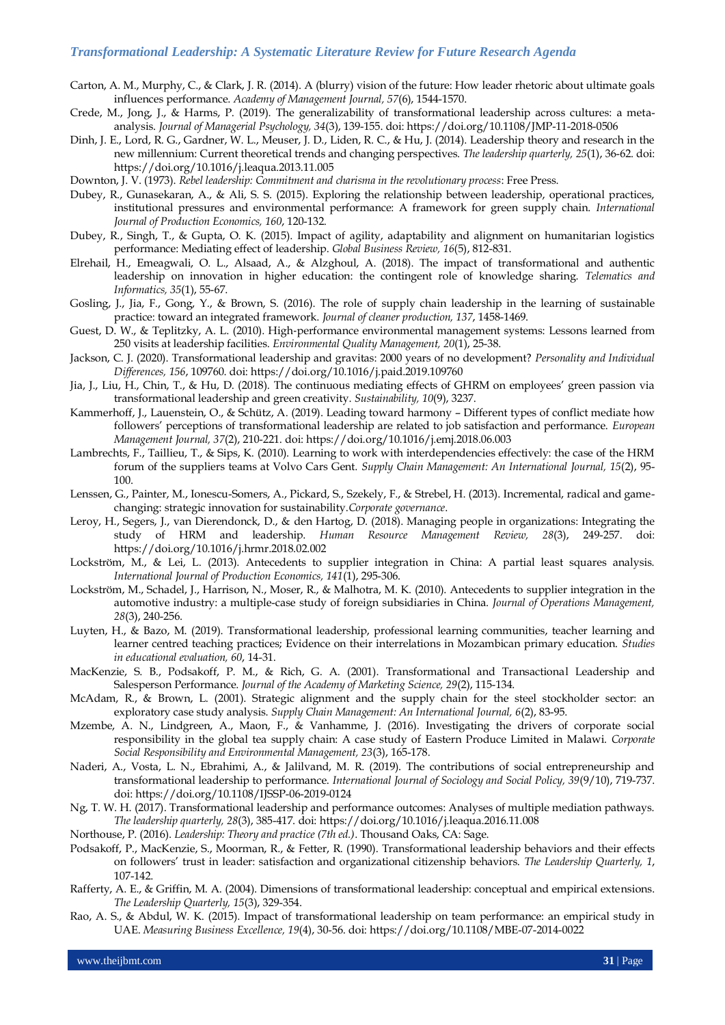# *Transformational Leadership: A Systematic Literature Review for Future Research Agenda*

- <span id="page-3-0"></span>Carton, A. M., Murphy, C., & Clark, J. R. (2014). A (blurry) vision of the future: How leader rhetoric about ultimate goals influences performance. *Academy of Management Journal, 57*(6), 1544-1570.
- <span id="page-3-1"></span>Crede, M., Jong, J., & Harms, P. (2019). The generalizability of transformational leadership across cultures: a metaanalysis. *Journal of Managerial Psychology, 34*(3), 139-155. doi: https://doi.org/10.1108/JMP-11-2018-0506
- <span id="page-3-4"></span>Dinh, J. E., Lord, R. G., Gardner, W. L., Meuser, J. D., Liden, R. C., & Hu, J. (2014). Leadership theory and research in the new millennium: Current theoretical trends and changing perspectives. *The leadership quarterly, 25*(1), 36-62. doi: https://doi.org/10.1016/j.leaqua.2013.11.005
- <span id="page-3-11"></span>Downton, J. V. (1973). *Rebel leadership: Commitment and charisma in the revolutionary process*: Free Press.
- <span id="page-3-12"></span>Dubey, R., Gunasekaran, A., & Ali, S. S. (2015). Exploring the relationship between leadership, operational practices, institutional pressures and environmental performance: A framework for green supply chain. *International Journal of Production Economics, 160*, 120-132.
- <span id="page-3-8"></span>Dubey, R., Singh, T., & Gupta, O. K. (2015). Impact of agility, adaptability and alignment on humanitarian logistics performance: Mediating effect of leadership. *Global Business Review, 16*(5), 812-831.
- <span id="page-3-9"></span>Elrehail, H., Emeagwali, O. L., Alsaad, A., & Alzghoul, A. (2018). The impact of transformational and authentic leadership on innovation in higher education: the contingent role of knowledge sharing. *Telematics and Informatics, 35*(1), 55-67.
- <span id="page-3-23"></span>Gosling, J., Jia, F., Gong, Y., & Brown, S. (2016). The role of supply chain leadership in the learning of sustainable practice: toward an integrated framework. *Journal of cleaner production, 137*, 1458-1469.
- <span id="page-3-5"></span>Guest, D. W., & Teplitzky, A. L. (2010). High‐performance environmental management systems: Lessons learned from 250 visits at leadership facilities. *Environmental Quality Management, 20*(1), 25-38.
- <span id="page-3-25"></span>Jackson, C. J. (2020). Transformational leadership and gravitas: 2000 years of no development? *Personality and Individual Differences, 156*, 109760. doi: https://doi.org/10.1016/j.paid.2019.109760
- <span id="page-3-2"></span>Jia, J., Liu, H., Chin, T., & Hu, D. (2018). The continuous mediating effects of GHRM on employees' green passion via transformational leadership and green creativity. *Sustainability, 10*(9), 3237.
- <span id="page-3-16"></span>Kammerhoff, J., Lauenstein, O., & Schütz, A. (2019). Leading toward harmony – Different types of conflict mediate how followers' perceptions of transformational leadership are related to job satisfaction and performance. *European Management Journal, 37*(2), 210-221. doi: https://doi.org/10.1016/j.emj.2018.06.003
- <span id="page-3-13"></span>Lambrechts, F., Taillieu, T., & Sips, K. (2010). Learning to work with interdependencies effectively: the case of the HRM forum of the suppliers teams at Volvo Cars Gent. *Supply Chain Management: An International Journal, 15*(2), 95- 100.
- <span id="page-3-22"></span>Lenssen, G., Painter, M., Ionescu-Somers, A., Pickard, S., Szekely, F., & Strebel, H. (2013). Incremental, radical and gamechanging: strategic innovation for sustainability.*Corporate governance*.
- <span id="page-3-14"></span>Leroy, H., Segers, J., van Dierendonck, D., & den Hartog, D. (2018). Managing people in organizations: Integrating the study of HRM and leadership. *Human Resource Management Review, 28*(3), 249-257. doi: https://doi.org/10.1016/j.hrmr.2018.02.002
- <span id="page-3-15"></span>Lockström, M., & Lei, L. (2013). Antecedents to supplier integration in China: A partial least squares analysis. *International Journal of Production Economics, 141*(1), 295-306.
- <span id="page-3-7"></span>Lockström, M., Schadel, J., Harrison, N., Moser, R., & Malhotra, M. K. (2010). Antecedents to supplier integration in the automotive industry: a multiple-case study of foreign subsidiaries in China. *Journal of Operations Management, 28*(3), 240-256.
- <span id="page-3-19"></span>Luyten, H., & Bazo, M. (2019). Transformational leadership, professional learning communities, teacher learning and learner centred teaching practices; Evidence on their interrelations in Mozambican primary education. *Studies in educational evaluation, 60*, 14-31.
- <span id="page-3-20"></span>MacKenzie, S. B., Podsakoff, P. M., & Rich, G. A. (2001). Transformational and Transactional Leadership and Salesperson Performance. *Journal of the Academy of Marketing Science, 29*(2), 115-134.
- <span id="page-3-10"></span>McAdam, R., & Brown, L. (2001). Strategic alignment and the supply chain for the steel stockholder sector: an exploratory case study analysis. *Supply Chain Management: An International Journal, 6*(2), 83-95.
- <span id="page-3-26"></span>Mzembe, A. N., Lindgreen, A., Maon, F., & Vanhamme, J. (2016). Investigating the drivers of corporate social responsibility in the global tea supply chain: A case study of Eastern Produce Limited in Malawi. *Corporate Social Responsibility and Environmental Management, 23*(3), 165-178.
- <span id="page-3-24"></span>Naderi, A., Vosta, L. N., Ebrahimi, A., & Jalilvand, M. R. (2019). The contributions of social entrepreneurship and transformational leadership to performance. *International Journal of Sociology and Social Policy, 39*(9/10), 719-737. doi: https://doi.org/10.1108/IJSSP-06-2019-0124
- <span id="page-3-3"></span>Ng, T. W. H. (2017). Transformational leadership and performance outcomes: Analyses of multiple mediation pathways. *The leadership quarterly, 28*(3), 385-417. doi: https://doi.org/10.1016/j.leaqua.2016.11.008
- <span id="page-3-21"></span>Northouse, P. (2016). *Leadership: Theory and practice (7th ed.)*. Thousand Oaks, CA: Sage.
- <span id="page-3-17"></span>Podsakoff, P., MacKenzie, S., Moorman, R., & Fetter, R. (1990). Transformational leadership behaviors and their effects on followers' trust in leader: satisfaction and organizational citizenship behaviors. *The Leadership Quarterly, 1*, 107-142.
- <span id="page-3-6"></span>Rafferty, A. E., & Griffin, M. A. (2004). Dimensions of transformational leadership: conceptual and empirical extensions. *The Leadership Quarterly, 15*(3), 329-354.
- <span id="page-3-18"></span>Rao, A. S., & Abdul, W. K. (2015). Impact of transformational leadership on team performance: an empirical study in UAE. *Measuring Business Excellence, 19*(4), 30-56. doi: https://doi.org/10.1108/MBE-07-2014-0022